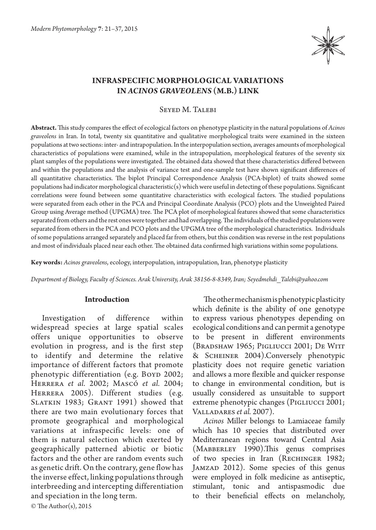

# **Infraspecific morphological variations in** *Acinos graveolens* **(M.B.) Link**

Seyed M. Talebi

**Abstract.** This study compares the effect of ecological factors on phenotype plasticity in the natural populations of *Acinos graveolens* in Iran. In total, twenty six quantitative and qualitative morphological traits were examined in the sixteen populations at two sections: inter- and intrapopulation. In the interpopulation section, averages amounts of morphological characteristics of populations were examined, while in the intrapopulation, morphological features of the seventy six plant samples of the populations were investigated. The obtained data showed that these characteristics differed between and within the populations and the analysis of variance test and one-sample test have shown significant differences of all quantitative characteristics. The biplot Principal Correspondence Analysis (PCA-biplot) of traits showed some populations had indicator morphological characteristic(s) which were useful in detecting of these populations. Significant correlations were found between some quantitative characteristics with ecological factors. The studied populations were separated from each other in the PCA and Principal Coordinate Analysis (PCO) plots and the Unweighted Paired Group using Average method (UPGMA) tree. The PCA plot of morphological features showed that some characteristics separated from others and the rest ones were together and had overlapping. The individuals of the studied populations were separated from others in the PCA and PCO plots and the UPGMA tree of the morphological characteristics. Individuals of some populations arranged separately and placed far from others, but this condition was reverse in the rest populations and most of individuals placed near each other. The obtained data confirmed high variations within some populations.

**Key words:** *Acinos graveolens*, ecology, interpopulation, intrapopulation, Iran, phenotype plasticity

*Department of Biology, Faculty of Sciences. Arak University, Arak 38156-8-8349, Iran; Seyedmehdi\_Talebi@yahoo.com*

### **Introduction**

Investigation of difference within widespread species at large spatial scales offers unique opportunities to observe evolution in progress, and is the first step to identify and determine the relative importance of different factors that promote phenotypic differentiation (e.g. Boyd 2002; Herrera *et al.* 2002; Mascó *et al.* 2004; HERRERA 2005). Different studies (e.g. SLATKIN 1983; GRANT 1991) showed that there are two main evolutionary forces that promote geographical and morphological variations at infraspecific levels: one of them is natural selection which exerted by geographically patterned abiotic or biotic factors and the other are random events such as genetic drift. On the contrary, gene flow has the inverse effect, linking populations through interbreeding and intercepting differentiation and speciation in the long term.

The other mechanism is phenotypic plasticity which definite is the ability of one genotype to express various phenotypes depending on ecological conditions and can permit a genotype to be present in different environments (Bradshaw 1965; Pigliucci 2001; De Witt & Scheiner 2004).Conversely phenotypic plasticity does not require genetic variation and allows a more flexible and quicker response to change in environmental condition, but is usually considered as unsuitable to support extreme phenotypic changes (PIGLIUCCI 2001; Valladares*et al.* 2007).

*Acinos* Miller belongs to Lamiaceae family which has 10 species that distributed over Mediterranean regions toward Central Asia (Mabberley 1990).This genus comprises of two species in Iran (RECHINGER 1982; JAMZAD 2012). Some species of this genus were employed in folk medicine as antiseptic, stimulant, tonic and antispasmodic due to their beneficial effects on melancholy,

© The Author(s), 2015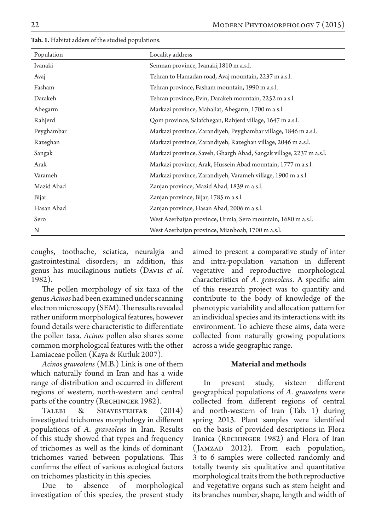| Tab. 1. Habitat adders of the studied populations. |  |
|----------------------------------------------------|--|
|----------------------------------------------------|--|

| Population | Locality address                                                    |
|------------|---------------------------------------------------------------------|
| Ivanaki    | Semnan province, Ivanaki, 1810 m a.s.l.                             |
| Avaj       | Tehran to Hamadan road, Avaj mountain, 2237 m a.s.l.                |
| Fasham     | Tehran province, Fasham mountain, 1990 m a.s.l.                     |
| Darakeh    | Tehran province, Evin, Darakeh mountain, 2252 m a.s.l.              |
| Abegarm    | Markazi province, Mahallat, Abegarm, 1700 m a.s.l.                  |
| Rahjerd    | Qom province, Salafchegan, Rahjerd village, 1647 m a.s.l.           |
| Peyghambar | Markazi province, Zarandiyeh, Peyghambar village, 1846 m a.s.l.     |
| Razeghan   | Markazi province, Zarandiyeh, Razeghan village, 2046 m a.s.l.       |
| Sangak     | Markazi province, Saveh, Ghargh Abad, Sangak village, 2237 m a.s.l. |
| Arak       | Markazi province, Arak, Hussein Abad mountain, 1777 m a.s.l.        |
| Varameh    | Markazi province, Zarandiyeh, Varameh village, 1900 m a.s.l.        |
| Mazid Abad | Zanjan province, Mazid Abad, 1839 m a.s.l.                          |
| Bijar      | Zanjan province, Bijar, 1785 m a.s.l.                               |
| Hasan Abad | Zanjan province, Hasan Abad, 2006 m a.s.l.                          |
| Sero       | West Azerbaijan province, Urmia, Sero mountain, 1680 m a.s.l.       |
| N          | West Azerbaijan province, Mianboab, 1700 m a.s.l.                   |

coughs, toothache, sciatica, neuralgia and gastrointestinal disorders; in addition, this genus has mucilaginous nutlets (Davis *et al.*  1982).

The pollen morphology of six taxa of the genus *Acinos* had been examined under scanning electron microscopy (SEM). The results revealed rather uniform morphological features, however found details were characteristic to differentiate the pollen taxa. *Acinos* pollen also shares some common morphological features with the other Lamiaceae pollen (Kaya & Kutluk 2007).

*Acinos graveolens* (M.B.) Link is one of them which naturally found in Iran and has a wide range of distribution and occurred in different regions of western, north-western and central parts of the country (RECHINGER 1982).

Talebi & Shayestehfar (2014) investigated trichomes morphology in different populations of *A. graveolens* in Iran. Results of this study showed that types and frequency of trichomes as well as the kinds of dominant trichomes varied between populations. This confirms the effect of various ecological factors on trichomes plasticity in this species.

Due to absence of morphological investigation of this species, the present study aimed to present a comparative study of inter and intra-population variation in different vegetative and reproductive morphological characteristics of *A. graveolens*. A specific aim of this research project was to quantify and contribute to the body of knowledge of the phenotypic variability and allocation pattern for an individual species and its interactions with its environment. To achieve these aims, data were collected from naturally growing populations across a wide geographic range.

## **Material and methods**

In present study, sixteen different geographical populations of *A. graveolens* were collected from different regions of central and north-western of Iran (Tab. 1) during spring 2013. Plant samples were identified on the basis of provided descriptions in Flora Iranica (Rechinger 1982) and Flora of Iran (JAMZAD 2012). From each population, 3 to 6 samples were collected randomly and totally twenty six qualitative and quantitative morphological traits from the both reproductive and vegetative organs such as stem height and its branches number, shape, length and width of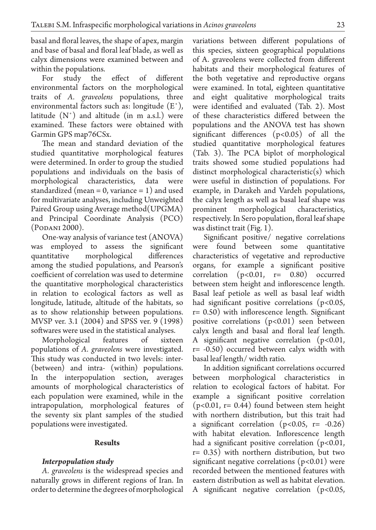basal and floral leaves, the shape of apex, margin and base of basal and floral leaf blade, as well as calyx dimensions were examined between and within the populations.

For study the effect of different environmental factors on the morphological traits of *A. graveolens* populations, three environmental factors such as: longitude (E˚), latitude  $(N^{\circ})$  and altitude (in m a.s.l.) were examined. These factors were obtained with Garmin GPS map76CSx.

The mean and standard deviation of the studied quantitative morphological features were determined. In order to group the studied populations and individuals on the basis of morphological characteristics, data were standardized (mean  $= 0$ , variance  $= 1$ ) and used for multivariate analyses, including Unweighted Paired Group using Average method(UPGMA) and Principal Coordinate Analysis (PCO) (Podani 2000).

One-way analysis of variance test (ANOVA) was employed to assess the significant quantitative morphological differences among the studied populations, and Pearson's coefficient of correlation was used to determine the quantitative morphological characteristics in relation to ecological factors as well as longitude, latitude, altitude of the habitats, so as to show relationship between populations. MVSP ver. 3.1 (2004) and SPSS ver. 9 (1998) softwares were used in the statistical analyses.

Morphological features of sixteen populations of *A. graveolens* were investigated. This study was conducted in two levels: inter- (between) and intra- (within) populations. In the interpopulation section, averages amounts of morphological characteristics of each population were examined, while in the intrapopulation, morphological features of the seventy six plant samples of the studied populations were investigated.

## **Results**

## *Interpopulation study*

*A. graveolens* is the widespread species and naturally grows in different regions of Iran. In order to determine the degrees of morphological variations between different populations of this species, sixteen geographical populations of A. graveolens were collected from different habitats and their morphological features of the both vegetative and reproductive organs were examined. In total, eighteen quantitative and eight qualitative morphological traits were identified and evaluated (Tab. 2). Most of these characteristics differed between the populations and the ANOVA test has shown significant differences (p<0.05) of all the studied quantitative morphological features (Tab. 3). The PCA biplot of morphological traits showed some studied populations had distinct morphological characteristic(s) which were useful in distinction of populations. For example, in Darakeh and Vardeh populations, the calyx length as well as basal leaf shape was prominent morphological characteristics, respectively. In Sero population, floral leaf shape was distinct trait (Fig. 1).

Significant positive/ negative correlations were found between some quantitative characteristics of vegetative and reproductive organs, for example a significant positive correlation  $(p<0.01, r=0.80)$  occurred between stem height and inflorescence length. Basal leaf petiole as well as basal leaf width had significant positive correlations (p<0.05, r= 0.50) with inflorescence length. Significant positive correlations (p<0.01) seen between calyx length and basal and floral leaf length. A significant negative correlation (p<0.01, r= -0.50) occurred between calyx width with basal leaf length/ width ratio.

In addition significant correlations occurred between morphological characteristics in relation to ecological factors of habitat. For example a significant positive correlation  $(p<0.01, r= 0.44)$  found between stem height with northern distribution, but this trait had a significant correlation ( $p<0.05$ ,  $r=-0.26$ ) with habitat elevation. Inflorescence length had a significant positive correlation  $(p<0.01,$ r= 0.35) with northern distribution, but two significant negative correlations (p<0.01) were recorded between the mentioned features with eastern distribution as well as habitat elevation. A significant negative correlation (p<0.05,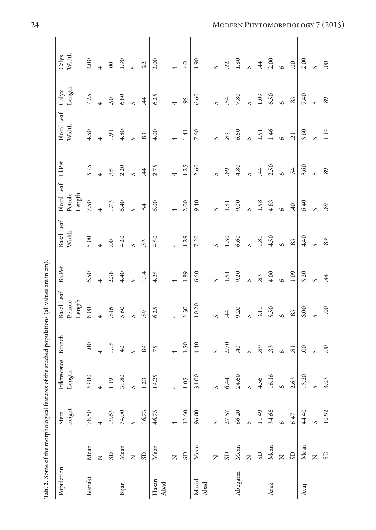|                          |                |                |                                 | $\overline{a}$  |                                 |                |                     |                                  |                    |                      |                    |                    |
|--------------------------|----------------|----------------|---------------------------------|-----------------|---------------------------------|----------------|---------------------|----------------------------------|--------------------|----------------------|--------------------|--------------------|
| Population               |                | Stem<br>height | Inflorescence<br>${\tt Length}$ | Branch          | Basal Leaf<br>Length<br>Petiole | <b>Ba.Pet</b>  | Basal Leaf<br>Width | Floral Leaf<br>Petiole<br>Length | <b>Fl.Pet</b>      | Floral Leaf<br>Width | Length<br>Calyx    | Calyx<br>Width     |
| Ivanaki                  | Mean           | 78.50          | 39.00                           | 1.00            | 8.00                            | 6.50           | 5.00                | 7.50                             | 3.75               | 4.50                 | 7.25               | 2.00               |
|                          | $\overline{z}$ |                |                                 | 4               | 4                               | $\overline{+}$ | $\overline{+}$      | $\overline{4}$                   | $\overline{+}$     |                      | 4                  | $\overline{a}$     |
|                          | SD             | 19.63          | $\overline{19}$                 | 1.15            | .816                            | 2.38           | $\odot$             | $1.73\,$                         | $\dot{95}$         | 1.91                 | .50                | $\overline{0}$     |
| Bijar                    | Mean           | 74.00          | 80<br>5                         | $\ddot{ }$      | 5.60                            | 4.40           | 4.20                | 6.40                             | 2.20               | 4.80                 | 6.80               | 1.90               |
|                          | $\overline{z}$ |                | S                               | $\mathbf{v}$    | $\sim$                          | $\mathbf{v}$   | $\mathcal{L}$       | $\mathbf{\hat{S}}$               | $\mathbf{v}$       | $\mathbf{v}$         | $\mathbf{\hat{S}}$ | $\mathbf{v}$       |
|                          | <b>GS</b>      | 16.73          | 23                              | 89              | 89.                             | 1.14           | $\ddot{8}$          | $\dot{5}4$                       | $\ddot{4}$         | 83                   | $\ddot{4}$         | 22                 |
| $_{\rm Abad}^{\rm Haam}$ | Mean           | 46.75          | 19.25                           | 75              | 6.25                            | 4.25           | 4.50                | 6.00                             | 2.75               | 4.00                 | 6.25               | 2.00               |
|                          | $\overline{z}$ |                |                                 | 4               | 4                               | 4              | $\overline{}$       | 4                                | 4                  | 4                    | 4                  | 4                  |
|                          | <b>GS</b>      | 12.60          | $\overline{50}$                 | 1.50            | 2.50                            | 1.89           | 1.29                | 2.00                             | 1.25               | 1.41                 | $\dot{6}$          | $\ddot{ }$         |
| Mazid<br>Abad            | $Mean$         | 96.00          | 31.00                           | 4.40            | 10.20                           | 6.60           | 7.20                | 9.40                             | 2.60               | 7.60                 | 6.60               | 1.90               |
|                          | $\mathsf{z}$   | $\sim$         | S                               | $\mathbf{v}$    | $\mathcal{L}$                   | $\mathbf{v}$   | $\sim$              | $\mathbf{v}$                     | $\mathbf{\hat{S}}$ | $\mathcal{L}$        | $\mathcal{L}$      | $\mathbf{v}$       |
|                          | <b>GS</b>      | 27.57          | 6.44                            | 2.70            | $\dot{4}$                       | 1.51           | 1.30                | $1.81$                           | 89                 | 89                   | .54                | $\dot{z}$          |
| Abegarm                  | Mean           | 66.20          | 24.60                           | 40              | 9.20                            | 9.20           | 6.60                | 9.00                             | 4.80               | 6.60                 | $7.80\,$           | $1.80$             |
|                          | $\mathsf{z}$   |                | S                               | $\mathbf{v}$    | $\sim$                          | $\mathbf{v}$   | $\sim$              | $\sim$                           | $\mathbf{v}$       | $\mathbf{v}$         | $\sim$             | $\sim$             |
|                          | <b>G</b>       | 11.49          | $\dot{56}$                      | .89             | 3.11                            | 83             | $1.81$              | $1.58\,$                         | $\ddot{ }$         | 1.51                 | 1.09               | $\ddot{4}$         |
| Arak                     | Mean           | 34.66          | 16.16                           | 33              | 5.50                            | 4.00           | 4.50                | 4.83                             | 2.50               | 1.46                 | 6.50               | 2.00               |
|                          | $\mathsf{z}$   | $\circ$        | $\circ$                         | $\circ$         | $\circ$                         | $\circ$        | $\circ$             | $\circ$                          | $\circ$            | $\circ$              | $\circ$            | $\circ$            |
|                          | <b>GS</b>      | 6.47           | 63<br>N                         | $\overline{81}$ | 83                              | 1.09           | 83                  | 40                               | $\dot{5}$          | 21                   | 83                 | $\overline{0}$     |
| Avaj                     | Mean           | 44.40          | 15.20                           | $\circ$         | 6.00                            | 5.20           | 4.40                | 6.40                             | 3.60               | 5.60                 | 7.40               | 2.00               |
|                          | $\mathsf{z}$   |                | S                               | $\mathbf{v}$    | $\mathbf{v}$                    | $\mathbf{v}$   | $\mathbf{v}$        | $\mathbf{v}$                     | $\mathbf{v}$       | $\mathbf{v}$         | $\mathbf{v}$       | $\mathbf{\hat{S}}$ |
|                          | GS             | 10.92          | $\overline{0}$<br>3             | 00              | $1.00\,$                        | 44             | 89                  | 89                               | .89                | 1.14                 | .89                | 00                 |
|                          |                |                |                                 |                 |                                 |                |                     |                                  |                    |                      |                    |                    |

Tab. 2. Some of the morphological features of the studied populations (all values are in cm). **Tab. 2.** Some of the morphological features of the studied populations (all values are in cm).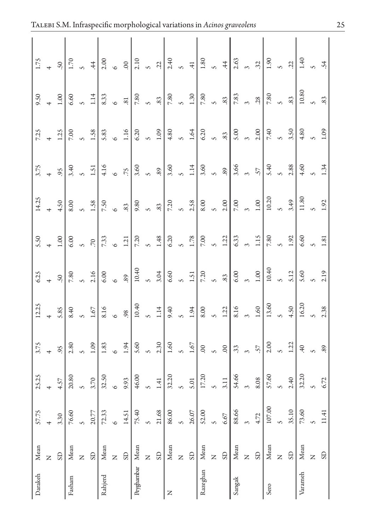| Darakeh    | Mean           | 57.75  | 25.25                                       | 3.75        | 12.25                                                                                                                                                                                                                                                                                                 | 6.25                                                                                                                                                                                                                                                                                                                                                                          | 5.50                                                                                                                                       | 14.25                                                          | 3.75                                                                                                                                                                                                                                                                                                                                                                                                                                 | 7.25                                                                                                                                                                                                                                         |                                                                                                                                                                                                                                                                                                                                         | 1.75                                                                                                                                                                                                                            |
|------------|----------------|--------|---------------------------------------------|-------------|-------------------------------------------------------------------------------------------------------------------------------------------------------------------------------------------------------------------------------------------------------------------------------------------------------|-------------------------------------------------------------------------------------------------------------------------------------------------------------------------------------------------------------------------------------------------------------------------------------------------------------------------------------------------------------------------------|--------------------------------------------------------------------------------------------------------------------------------------------|----------------------------------------------------------------|--------------------------------------------------------------------------------------------------------------------------------------------------------------------------------------------------------------------------------------------------------------------------------------------------------------------------------------------------------------------------------------------------------------------------------------|----------------------------------------------------------------------------------------------------------------------------------------------------------------------------------------------------------------------------------------------|-----------------------------------------------------------------------------------------------------------------------------------------------------------------------------------------------------------------------------------------------------------------------------------------------------------------------------------------|---------------------------------------------------------------------------------------------------------------------------------------------------------------------------------------------------------------------------------|
|            | Z              |        |                                             |             |                                                                                                                                                                                                                                                                                                       |                                                                                                                                                                                                                                                                                                                                                                               |                                                                                                                                            |                                                                |                                                                                                                                                                                                                                                                                                                                                                                                                                      |                                                                                                                                                                                                                                              |                                                                                                                                                                                                                                                                                                                                         |                                                                                                                                                                                                                                 |
|            | SD             | 3.30   |                                             | 95          | $\frac{4}{5.85}$                                                                                                                                                                                                                                                                                      | $\overline{50}$                                                                                                                                                                                                                                                                                                                                                               | $4 \over 1.00$                                                                                                                             | $\begin{array}{c} 4.50 \\ + .50 \end{array}$                   | 95                                                                                                                                                                                                                                                                                                                                                                                                                                   | $rac{4}{1.25}$                                                                                                                                                                                                                               | $9.50$<br>+ 02.0                                                                                                                                                                                                                                                                                                                        | $\overline{S}$                                                                                                                                                                                                                  |
| Fasham     | Mean           | 76.60  | $rac{25}{180}$                              | 2.80        | 8.40                                                                                                                                                                                                                                                                                                  | $7.80\,$                                                                                                                                                                                                                                                                                                                                                                      | 6.00                                                                                                                                       | $8.00\,$                                                       | 3.40                                                                                                                                                                                                                                                                                                                                                                                                                                 | $7.00\,$                                                                                                                                                                                                                                     | $6.60$                                                                                                                                                                                                                                                                                                                                  | $1.70\,$                                                                                                                                                                                                                        |
|            | $\overline{z}$ |        |                                             |             |                                                                                                                                                                                                                                                                                                       |                                                                                                                                                                                                                                                                                                                                                                               | $\sim$                                                                                                                                     |                                                                |                                                                                                                                                                                                                                                                                                                                                                                                                                      |                                                                                                                                                                                                                                              |                                                                                                                                                                                                                                                                                                                                         | $\sim$                                                                                                                                                                                                                          |
|            | <b>G</b>       | 20.77  | 3.70                                        |             | $\begin{bmatrix} 5 & 1.67 \\ 1.67 & 5 \end{bmatrix}$                                                                                                                                                                                                                                                  |                                                                                                                                                                                                                                                                                                                                                                               |                                                                                                                                            |                                                                |                                                                                                                                                                                                                                                                                                                                                                                                                                      |                                                                                                                                                                                                                                              |                                                                                                                                                                                                                                                                                                                                         |                                                                                                                                                                                                                                 |
| Rahjerd    | Mean           | 72.33  | 32.50                                       |             | $\begin{vmatrix} 6 & 8 \\ 16 & 8 \end{vmatrix}$                                                                                                                                                                                                                                                       | $\begin{array}{c c}\n5 & 2.16 \\ 6.00 & 6\n\end{array}$                                                                                                                                                                                                                                                                                                                       |                                                                                                                                            |                                                                |                                                                                                                                                                                                                                                                                                                                                                                                                                      | $5 \frac{1.58}{5.83}$                                                                                                                                                                                                                        |                                                                                                                                                                                                                                                                                                                                         | $rac{4}{100}$ $\frac{1}{6}$ $\frac{1}{10}$ $\frac{1}{10}$ $\frac{1}{10}$ $\frac{1}{10}$                                                                                                                                         |
|            | Z              |        | $\circ$                                     |             |                                                                                                                                                                                                                                                                                                       |                                                                                                                                                                                                                                                                                                                                                                               |                                                                                                                                            |                                                                |                                                                                                                                                                                                                                                                                                                                                                                                                                      |                                                                                                                                                                                                                                              |                                                                                                                                                                                                                                                                                                                                         |                                                                                                                                                                                                                                 |
|            | <b>G</b>       | 14.51  |                                             |             |                                                                                                                                                                                                                                                                                                       |                                                                                                                                                                                                                                                                                                                                                                               |                                                                                                                                            |                                                                |                                                                                                                                                                                                                                                                                                                                                                                                                                      |                                                                                                                                                                                                                                              |                                                                                                                                                                                                                                                                                                                                         |                                                                                                                                                                                                                                 |
| Peyghambar | Mean           | 75.40  | $\frac{9.93}{46.00}$                        |             |                                                                                                                                                                                                                                                                                                       |                                                                                                                                                                                                                                                                                                                                                                               |                                                                                                                                            |                                                                |                                                                                                                                                                                                                                                                                                                                                                                                                                      |                                                                                                                                                                                                                                              |                                                                                                                                                                                                                                                                                                                                         |                                                                                                                                                                                                                                 |
|            | $\mathsf{z}$   | S      |                                             |             | $\begin{bmatrix} 10.40 \\ 5 \\ 1.14 \end{bmatrix}$                                                                                                                                                                                                                                                    |                                                                                                                                                                                                                                                                                                                                                                               |                                                                                                                                            |                                                                |                                                                                                                                                                                                                                                                                                                                                                                                                                      |                                                                                                                                                                                                                                              |                                                                                                                                                                                                                                                                                                                                         |                                                                                                                                                                                                                                 |
|            | <b>GS</b>      | 21.68  |                                             |             |                                                                                                                                                                                                                                                                                                       |                                                                                                                                                                                                                                                                                                                                                                               |                                                                                                                                            |                                                                |                                                                                                                                                                                                                                                                                                                                                                                                                                      |                                                                                                                                                                                                                                              |                                                                                                                                                                                                                                                                                                                                         |                                                                                                                                                                                                                                 |
| Z          | Mean           | 86.00  | $\frac{1.41}{32.20}$                        |             | $\sqrt{9.40}$<br>5 .94                                                                                                                                                                                                                                                                                |                                                                                                                                                                                                                                                                                                                                                                               |                                                                                                                                            |                                                                |                                                                                                                                                                                                                                                                                                                                                                                                                                      |                                                                                                                                                                                                                                              |                                                                                                                                                                                                                                                                                                                                         |                                                                                                                                                                                                                                 |
|            | $\overline{z}$ | $\sim$ | S                                           |             |                                                                                                                                                                                                                                                                                                       |                                                                                                                                                                                                                                                                                                                                                                               |                                                                                                                                            |                                                                |                                                                                                                                                                                                                                                                                                                                                                                                                                      |                                                                                                                                                                                                                                              |                                                                                                                                                                                                                                                                                                                                         |                                                                                                                                                                                                                                 |
|            | S <sub>D</sub> | 26.07  |                                             |             |                                                                                                                                                                                                                                                                                                       |                                                                                                                                                                                                                                                                                                                                                                               |                                                                                                                                            |                                                                |                                                                                                                                                                                                                                                                                                                                                                                                                                      |                                                                                                                                                                                                                                              |                                                                                                                                                                                                                                                                                                                                         |                                                                                                                                                                                                                                 |
| Razeghan   | Mean           | 52.00  | $rac{5.01}{17.20}$<br>5.11<br>5.66<br>57.60 |             | 8.00<br>5 1.22<br>8.16<br>8.16<br>1.50<br>5 5<br>4.50<br>4.50<br>4.50<br>4.50<br>5.00<br>5.00<br>5.00<br>5.00<br>5.00<br>5.00<br>5.00<br>5.00<br>5.00<br>5.00<br>5.00<br>5.00<br>5.00<br>5.00<br>5.00<br>5.00<br>5.00<br>5.00<br>5.00<br>5.00<br>5.00<br>5.00<br>5.00<br>5.00<br>5.00<br>5.00<br>5.00 | $\frac{38}{10}$<br>$\frac{4}{9}$<br>$\frac{4}{9}$<br>$\frac{4}{9}$<br>$\frac{4}{9}$<br>$\frac{4}{9}$<br>$\frac{1}{10}$<br>$\frac{1}{10}$<br>$\frac{1}{10}$<br>$\frac{1}{10}$<br>$\frac{1}{10}$<br>$\frac{1}{10}$<br>$\frac{1}{10}$<br>$\frac{1}{10}$<br>$\frac{1}{10}$<br>$\frac{1}{10}$<br>$\frac{1}{10}$<br>$\frac{1}{10}$<br>$\frac{1}{10}$<br>$\frac{1}{10}$<br>$\frac{1$ | $rac{7}{7}$ , $rac{1}{3}$ , $rac{1}{6}$ , $rac{1}{2}$ , $rac{1}{2}$ , $rac{1}{2}$ , $rac{48}{6}$ , $rac{8}{6}$ , $rac{1}{2}$ , $rac{7}{6}$ | $\begin{array}{r} 5.30 \\ -1.50 \\ 7.50 \\ \hline \end{array}$ | $\begin{array}{r} \begin{array}{c} \text{s} \\ \text{10} \\ \text{11} \\ \text{12} \\ \text{13} \\ \text{14} \\ \text{15} \\ \text{16} \\ \text{17} \\ \text{18} \\ \text{19} \\ \text{10} \\ \text{19} \\ \text{10} \\ \text{10} \\ \text{11} \\ \text{12} \\ \text{13} \\ \text{14} \\ \text{15} \\ \text{16} \\ \text{17} \\ \text{18} \\ \text{19} \\ \text{10} \\ \text{19} \\ \text{10} \\ \text{11} \\ \text{12} \\ \text{13$ | $\begin{vmatrix} 3 & 3 & 3 \\ 6 & 3 & 5 \\ 4 & 5 & 5 \end{vmatrix}$ $\frac{16}{6}$ $\frac{1}{3}$ $\frac{1}{3}$ $\frac{1}{3}$ $\frac{1}{3}$ $\frac{1}{3}$ $\frac{1}{3}$ $\frac{1}{3}$ $\frac{1}{3}$ $\frac{1}{3}$ $\frac{1}{3}$ $\frac{1}{3}$ | $\begin{array}{ccc} 2 & 0 & 0 \\ 0 & 0 & 0 \\ 0 & 0 & 0 \\ 0 & 0 & 0 \\ 0 & 0 & 0 \\ 0 & 0 & 0 \\ 0 & 0 & 0 \\ 0 & 0 & 0 \\ 0 & 0 & 0 \\ 0 & 0 & 0 \\ 0 & 0 & 0 \\ 0 & 0 & 0 \\ 0 & 0 & 0 \\ 0 & 0 & 0 \\ 0 & 0 & 0 \\ 0 & 0 & 0 \\ 0 & 0 & 0 \\ 0 & 0 & 0 \\ 0 & 0 & 0 \\ 0 & 0 & 0 \\ 0 & 0 & 0 \\ 0 & 0 & 0 \\ 0 & 0 & 0 & 0 \\ 0 &$ | $\begin{bmatrix} 4 & 6 \\ 1 & 8 \\ 1 & 8 \end{bmatrix}$ $\begin{bmatrix} 4 & 6 \\ 1 & 8 \\ 1 & 8 \end{bmatrix}$ $\begin{bmatrix} 4 & 6 \\ 1 & 6 \\ 1 & 8 \end{bmatrix}$ $\begin{bmatrix} 3 & 3 \\ 1 & 9 \\ 1 & 3 \end{bmatrix}$ |
|            | $\overline{z}$ | S      |                                             |             |                                                                                                                                                                                                                                                                                                       |                                                                                                                                                                                                                                                                                                                                                                               |                                                                                                                                            |                                                                |                                                                                                                                                                                                                                                                                                                                                                                                                                      |                                                                                                                                                                                                                                              |                                                                                                                                                                                                                                                                                                                                         |                                                                                                                                                                                                                                 |
|            | <b>G</b>       | 6.67   |                                             |             |                                                                                                                                                                                                                                                                                                       |                                                                                                                                                                                                                                                                                                                                                                               |                                                                                                                                            |                                                                |                                                                                                                                                                                                                                                                                                                                                                                                                                      |                                                                                                                                                                                                                                              |                                                                                                                                                                                                                                                                                                                                         |                                                                                                                                                                                                                                 |
| Sangak     | Mean           | 88.66  |                                             |             |                                                                                                                                                                                                                                                                                                       |                                                                                                                                                                                                                                                                                                                                                                               | $\frac{1}{2}$ $\frac{2}{3}$                                                                                                                |                                                                |                                                                                                                                                                                                                                                                                                                                                                                                                                      |                                                                                                                                                                                                                                              |                                                                                                                                                                                                                                                                                                                                         |                                                                                                                                                                                                                                 |
|            | $\overline{z}$ |        |                                             |             |                                                                                                                                                                                                                                                                                                       |                                                                                                                                                                                                                                                                                                                                                                               |                                                                                                                                            |                                                                |                                                                                                                                                                                                                                                                                                                                                                                                                                      |                                                                                                                                                                                                                                              |                                                                                                                                                                                                                                                                                                                                         |                                                                                                                                                                                                                                 |
|            | <b>GS</b>      | 4.72   |                                             |             |                                                                                                                                                                                                                                                                                                       |                                                                                                                                                                                                                                                                                                                                                                               | $\frac{3}{7}$ $\frac{115}{7.80}$                                                                                                           |                                                                |                                                                                                                                                                                                                                                                                                                                                                                                                                      |                                                                                                                                                                                                                                              |                                                                                                                                                                                                                                                                                                                                         |                                                                                                                                                                                                                                 |
| Sero       | Mean           | 107.00 |                                             |             |                                                                                                                                                                                                                                                                                                       |                                                                                                                                                                                                                                                                                                                                                                               |                                                                                                                                            |                                                                |                                                                                                                                                                                                                                                                                                                                                                                                                                      |                                                                                                                                                                                                                                              |                                                                                                                                                                                                                                                                                                                                         |                                                                                                                                                                                                                                 |
|            | Z              | S      | S                                           |             |                                                                                                                                                                                                                                                                                                       |                                                                                                                                                                                                                                                                                                                                                                               |                                                                                                                                            |                                                                |                                                                                                                                                                                                                                                                                                                                                                                                                                      |                                                                                                                                                                                                                                              |                                                                                                                                                                                                                                                                                                                                         |                                                                                                                                                                                                                                 |
|            |                | 35.10  |                                             |             |                                                                                                                                                                                                                                                                                                       |                                                                                                                                                                                                                                                                                                                                                                               |                                                                                                                                            |                                                                |                                                                                                                                                                                                                                                                                                                                                                                                                                      |                                                                                                                                                                                                                                              |                                                                                                                                                                                                                                                                                                                                         |                                                                                                                                                                                                                                 |
| Varameh    | Mean           | 73.60  | $\frac{2.40}{32.20}$                        |             | $\overline{16.20}$                                                                                                                                                                                                                                                                                    | $\frac{60}{5.60}$                                                                                                                                                                                                                                                                                                                                                             | $6.60$<br>$5$<br>$1.81$                                                                                                                    | $\frac{11.80}{5}$<br>1.92                                      |                                                                                                                                                                                                                                                                                                                                                                                                                                      | $7.40$<br>5 .50<br>4.80<br>5 .50                                                                                                                                                                                                             | 10.80                                                                                                                                                                                                                                                                                                                                   | $1.40$<br>$5$                                                                                                                                                                                                                   |
|            | Z              |        | S                                           | $rac{4}{5}$ | $5 - 2.38$                                                                                                                                                                                                                                                                                            |                                                                                                                                                                                                                                                                                                                                                                               |                                                                                                                                            |                                                                |                                                                                                                                                                                                                                                                                                                                                                                                                                      |                                                                                                                                                                                                                                              | $5\frac{8}{3}$                                                                                                                                                                                                                                                                                                                          |                                                                                                                                                                                                                                 |
|            | <b>G</b>       |        | 72<br>Ö                                     | 89          |                                                                                                                                                                                                                                                                                                       |                                                                                                                                                                                                                                                                                                                                                                               |                                                                                                                                            |                                                                |                                                                                                                                                                                                                                                                                                                                                                                                                                      |                                                                                                                                                                                                                                              |                                                                                                                                                                                                                                                                                                                                         | $\ddot{5}4$                                                                                                                                                                                                                     |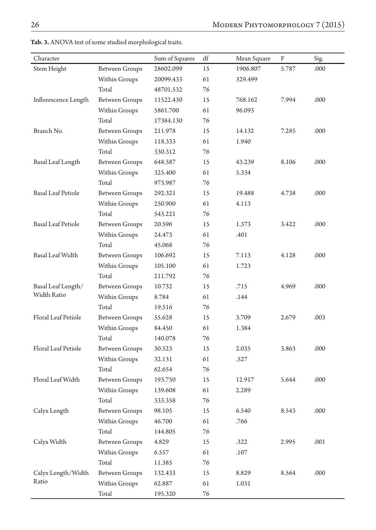| Character                 |                       | Sum of Squares | df | Mean Square | F     | Sig. |
|---------------------------|-----------------------|----------------|----|-------------|-------|------|
| Stem Height               | <b>Between Groups</b> | 28602.099      | 15 | 1906.807    | 5.787 | .000 |
|                           | Within Groups         | 20099.433      | 61 | 329.499     |       |      |
|                           | Total                 | 48701.532      | 76 |             |       |      |
| Inflorescence Length      | <b>Between Groups</b> | 11522.430      | 15 | 768.162     | 7.994 | .000 |
|                           | Within Groups         | 5861.700       | 61 | 96.093      |       |      |
|                           | Total                 | 17384.130      | 76 |             |       |      |
| Branch No.                | <b>Between Groups</b> | 211.978        | 15 | 14.132      | 7.285 | .000 |
|                           | Within Groups         | 118.333        | 61 | 1.940       |       |      |
|                           | Total                 | 330.312        | 76 |             |       |      |
| Basal Leaf Length         | <b>Between Groups</b> | 648.587        | 15 | 43.239      | 8.106 | .000 |
|                           | Within Groups         | 325.400        | 61 | 5.334       |       |      |
|                           | Total                 | 973.987        | 76 |             |       |      |
| <b>Basal Leaf Petiole</b> | <b>Between Groups</b> | 292.321        | 15 | 19.488      | 4.738 | .000 |
|                           | Within Groups         | 250.900        | 61 | 4.113       |       |      |
|                           | Total                 | 543.221        | 76 |             |       |      |
| <b>Basal Leaf Petiole</b> | <b>Between Groups</b> | 20.596         | 15 | 1.373       | 3.422 | .000 |
|                           | Within Groups         | 24.473         | 61 | .401        |       |      |
|                           | Total                 | 45.068         | 76 |             |       |      |
| Basal Leaf Width          | <b>Between Groups</b> | 106.692        | 15 | 7.113       | 4.128 | .000 |
|                           | Within Groups         | 105.100        | 61 | 1.723       |       |      |
|                           | Total                 | 211.792        | 76 |             |       |      |
| Basal Leaf Length/        | <b>Between Groups</b> | 10.732         | 15 | .715        | 4.969 | .000 |
| Width Ratio               | Within Groups         | 8.784          | 61 | .144        |       |      |
|                           | Total                 | 19.516         | 76 |             |       |      |
| Floral Leaf Petiole       | <b>Between Groups</b> | 55.628         | 15 | 3.709       | 2.679 | .003 |
|                           | Within Groups         | 84.450         | 61 | 1.384       |       |      |
|                           | Total                 | 140.078        | 76 |             |       |      |
| Floral Leaf Petiole       | Between Groups        | 30.523         | 15 | 2.035       | 3.863 | .000 |
|                           | Within Groups         | 32.131         | 61 | .527        |       |      |
|                           | Total                 | 62.654         | 76 |             |       |      |
| Floral Leaf Width         | <b>Between Groups</b> | 193.750        | 15 | 12.917      | 5.644 | .000 |
|                           | Within Groups         | 139.608        | 61 | 2.289       |       |      |
|                           | Total                 | 333.358        | 76 |             |       |      |
| Calyx Length              | <b>Between Groups</b> | 98.105         | 15 | 6.540       | 8.543 | .000 |
|                           | Within Groups         | 46.700         | 61 | .766        |       |      |
|                           | Total                 | 144.805        | 76 |             |       |      |
| Calyx Width               | <b>Between Groups</b> | 4.829          | 15 | .322        | 2.995 | .001 |
|                           | Within Groups         | 6.557          | 61 | .107        |       |      |
|                           | Total                 | 11.385         | 76 |             |       |      |
| Calyx Length/Width        | <b>Between Groups</b> | 132.433        | 15 | 8.829       | 8.564 | .000 |
| Ratio                     | Within Groups         | 62.887         | 61 | 1.031       |       |      |
|                           | Total                 | 195.320        | 76 |             |       |      |

**Tab. 3.** ANOVA test of some studied morphological traits.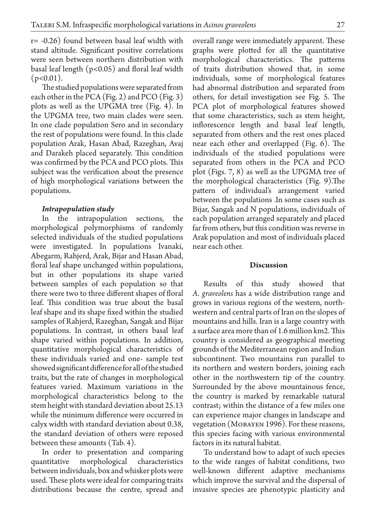r= -0.26) found between basal leaf width with stand altitude. Significant positive correlations were seen between northern distribution with basal leaf length  $(p<0.05)$  and floral leaf width  $(p<0.01)$ .

The studied populations were separated from each other in the PCA (Fig. 2) and PCO (Fig. 3) plots as well as the UPGMA tree (Fig. 4). In the UPGMA tree, two main clades were seen. In one clade population Sero and in secondary the rest of populations were found. In this clade population Arak, Hasan Abad, Razeghan, Avaj and Darakeh placed separately. This condition was confirmed by the PCA and PCO plots. This subject was the verification about the presence of high morphological variations between the populations.

### *Intrapopulation study*

In the intrapopulation sections, the morphological polymorphisms of randomly selected individuals of the studied populations were investigated. In populations Ivanaki, Abegarm, Rahjerd, Arak, Bijar and Hasan Abad, floral leaf shape unchanged within populations, but in other populations its shape varied between samples of each population so that there were two to three different shapes of floral leaf. This condition was true about the basal leaf shape and its shape fixed within the studied samples of Rahjerd, Razeghan, Sangak and Bijar populations. In contrast, in others basal leaf shape varied within populations. In addition, quantitative morphological characteristics of these individuals varied and one- sample test showed significant difference for all of the studied traits, but the rate of changes in morphological features varied. Maximum variations in the morphological characteristics belong to the stem height with standard deviation about 25.13 while the minimum difference were occurred in calyx width with standard deviation about 0.38, the standard deviation of others were reposed between these amounts (Tab. 4).

In order to presentation and comparing quantitative morphological characteristics between individuals, box and whisker plots were used. These plots were ideal for comparing traits distributions because the centre, spread and overall range were immediately apparent. These graphs were plotted for all the quantitative morphological characteristics. The patterns of traits distribution showed that, in some individuals, some of morphological features had abnormal distribution and separated from others, for detail investigation see Fig. 5. The PCA plot of morphological features showed that some characteristics, such as stem height, inflorescence length and basal leaf length, separated from others and the rest ones placed near each other and overlapped (Fig. 6). The individuals of the studied populations were separated from others in the PCA and PCO plot (Figs. 7, 8) as well as the UPGMA tree of the morphological characteristics (Fig. 9).The pattern of individual's arrangement varied between the populations .In some cases such as Bijar, Sangak and N populations, individuals of each population arranged separately and placed far from others, but this condition was reverse in Arak population and most of individuals placed near each other.

#### **Discussion**

Results of this study showed that *A. graveolens* has a wide distribution range and grows in various regions of the western, northwestern and central parts of Iran on the slopes of mountains and hills. Iran is a large country with a surface area more than of 1.6 million km2. This country is considered as geographical meeting grounds of the Mediterranean region and Indian subcontinent. Two mountains run parallel to its northern and western borders, joining each other in the northwestern tip of the country. Surrounded by the above mountainous fence, the country is marked by remarkable natural contrast; within the distance of a few miles one can experience major changes in landscape and vegetation (Mobayen 1996). For these reasons, this species facing with various environmental factors in its natural habitat.

To understand how to adapt of such species to the wide ranges of habitat conditions, two well-known different adaptive mechanisms which improve the survival and the dispersal of invasive species are phenotypic plasticity and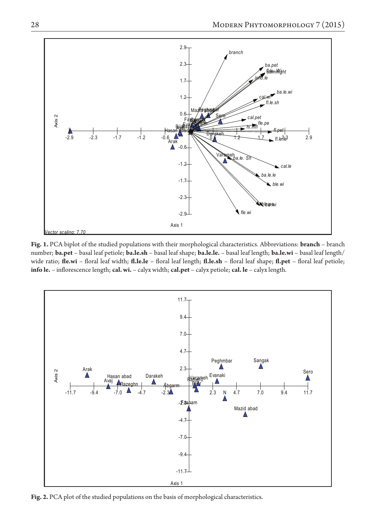

**Fig. 1.** PCA biplot of the studied populations with their morphological characteristics. Abbreviations: **branch** – branch number; **ba.pet** – basal leaf petiole; **ba.le.sh** – basal leaf shape; **ba.le.le.** – basal leaf length; **ba.le.wi** – basal leaf length/ wide ratio; **fle.wi** – floral leaf width; **fl.le.le** – floral leaf length; **fl.le.sh** – floral leaf shape; **fl.pet** – floral leaf petiole; **info le.** – inflorescence length; **cal. wi.** – calyx width; **cal.pet** – calyx petiole; **cal. le** – calyx length.



Fig. 2. PCA plot of the studied populations on the basis of morphological characteristics.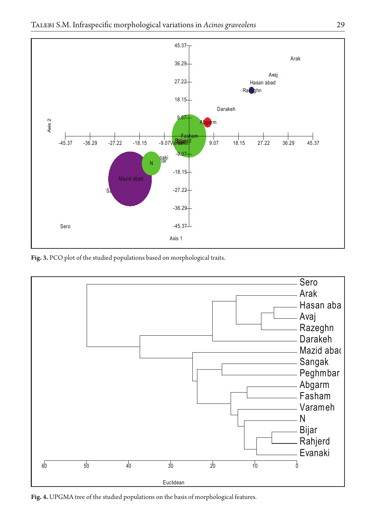

Fig. 3. PCO plot of the studied populations based on morphological traits.



**Fig. 4.** UPGMA tree of the studied populations on the basis of morphological features.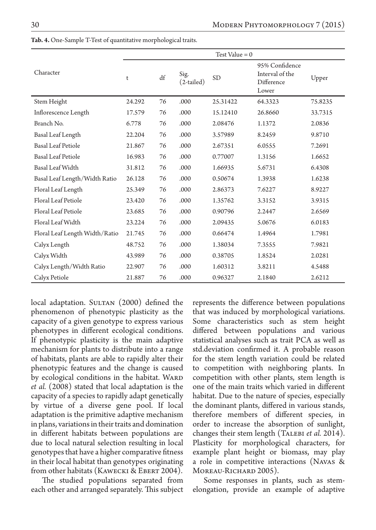|                                |             |    |                      | Test Value = $0$ |                                                          |         |
|--------------------------------|-------------|----|----------------------|------------------|----------------------------------------------------------|---------|
| Character                      | $\mathsf t$ | df | Sig.<br>$(2-tailed)$ | <b>SD</b>        | 95% Confidence<br>Interval of the<br>Difference<br>Lower | Upper   |
| Stem Height                    | 24.292      | 76 | .000                 | 25.31422         | 64.3323                                                  | 75.8235 |
| Inflorescence Length           | 17.579      | 76 | .000                 | 15.12410         | 26.8660                                                  | 33.7315 |
| Branch No.                     | 6.778       | 76 | .000                 | 2.08476          | 1.1372                                                   | 2.0836  |
| Basal Leaf Length              | 22.204      | 76 | .000                 | 3.57989          | 8.2459                                                   | 9.8710  |
| <b>Basal Leaf Petiole</b>      | 21.867      | 76 | .000                 | 2.67351          | 6.0555                                                   | 7.2691  |
| <b>Basal Leaf Petiole</b>      | 16.983      | 76 | .000                 | 0.77007          | 1.3156                                                   | 1.6652  |
| <b>Basal Leaf Width</b>        | 31.812      | 76 | .000                 | 1.66935          | 5.6731                                                   | 6.4308  |
| Basal Leaf Length/Width Ratio  | 26.128      | 76 | .000                 | 0.50674          | 1.3938                                                   | 1.6238  |
| Floral Leaf Length             | 25.349      | 76 | .000                 | 2.86373          | 7.6227                                                   | 8.9227  |
| Floral Leaf Petiole            | 23.420      | 76 | .000                 | 1.35762          | 3.3152                                                   | 3.9315  |
| Floral Leaf Petiole            | 23.685      | 76 | .000                 | 0.90796          | 2.2447                                                   | 2.6569  |
| Floral Leaf Width              | 23.224      | 76 | .000                 | 2.09435          | 5.0676                                                   | 6.0183  |
| Floral Leaf Length Width/Ratio | 21.745      | 76 | .000                 | 0.66474          | 1.4964                                                   | 1.7981  |
| Calyx Length                   | 48.752      | 76 | .000                 | 1.38034          | 7.3555                                                   | 7.9821  |
| Calyx Width                    | 43.989      | 76 | .000                 | 0.38705          | 1.8524                                                   | 2.0281  |
| Calyx Length/Width Ratio       | 22.907      | 76 | .000                 | 1.60312          | 3.8211                                                   | 4.5488  |
| Calyx Petiole                  | 21.887      | 76 | .000                 | 0.96327          | 2.1840                                                   | 2.6212  |

**Tab. 4.** One-Sample T-Test of quantitative morphological traits.

local adaptation. SULTAN (2000) defined the phenomenon of phenotypic plasticity as the capacity of a given genotype to express various phenotypes in different ecological conditions. If phenotypic plasticity is the main adaptive mechanism for plants to distribute into a range of habitats, plants are able to rapidly alter their phenotypic features and the change is caused by ecological conditions in the habitat. WARD *et al.* (2008) stated that local adaptation is the capacity of a species to rapidly adapt genetically by virtue of a diverse gene pool. If local adaptation is the primitive adaptive mechanism in plans, variations in their traits and domination in different habitats between populations are due to local natural selection resulting in local genotypes that have a higher comparative fitness in their local habitat than genotypes originating from other habitats (KAWECKI & EBERT 2004).

The studied populations separated from each other and arranged separately. This subject represents the difference between populations that was induced by morphological variations. Some characteristics such as stem height differed between populations and various statistical analyses such as trait PCA as well as std.deviation confirmed it. A probable reason for the stem length variation could be related to competition with neighboring plants. In competition with other plants, stem length is one of the main traits which varied in different habitat. Due to the nature of species, especially the dominant plants, differed in various stands, therefore members of different species, in order to increase the absorption of sunlight, changes their stem length (TALEBI *et al.* 2014). Plasticity for morphological characters, for example plant height or biomass, may play a role in competitive interactions (Navas & Moreau-Richard 2005).

Some responses in plants, such as stemelongation, provide an example of adaptive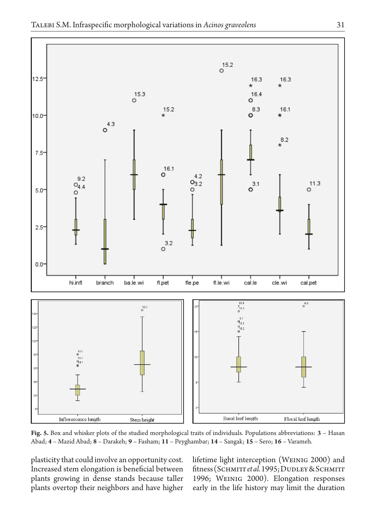

Talebi S.M. Infraspecific morphological variations in *Acinos graveolens*

**Fig. 5.** Box and whisker plots of the studied morphological traits of individuals. Populations abbreviations: **3** – Hasan Abad; **4** – Mazid Abad; **8** – Darakeh; **9** – Fasham; **11** – Peyghambar; **14** – Sangak; **15** – Sero; **16** – Varameh.

plasticity that could involve an opportunity cost. Increased stem elongation is beneficial between plants growing in dense stands because taller plants overtop their neighbors and have higher lifetime light interception (Weinig 2000) and fitness (SCHMITT et al. 1995; DUDLEY & SCHMITT 1996; Weinig 2000). Elongation responses early in the life history may limit the duration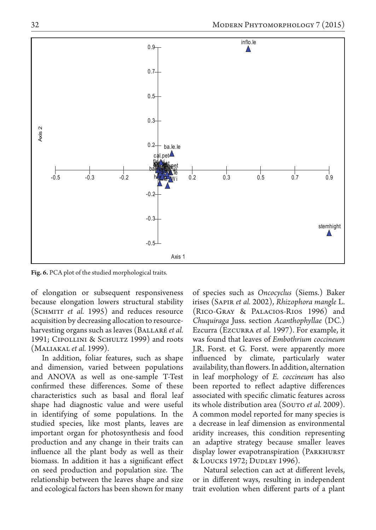

Fig. 6. PCA plot of the studied morphological traits.

of elongation or subsequent responsiveness because elongation lowers structural stability (SCHMITT *et al.* 1995) and reduces resource acquisition by decreasing allocation to resourceharvesting organs such as leaves (BALLARE *et al.*) 1991; Cipollini & Schultz 1999) and roots (Maliakal *et al.* 1999).

In addition, foliar features, such as shape and dimension, varied between populations and ANOVA as well as one-sample T-Test confirmed these differences. Some of these characteristics such as basal and floral leaf shape had diagnostic value and were useful in identifying of some populations. In the studied species, like most plants, leaves are important organ for photosynthesis and food production and any change in their traits can influence all the plant body as well as their biomass. In addition it has a significant effect on seed production and population size. The relationship between the leaves shape and size and ecological factors has been shown for many

of species such as *Oncocyclus* (Siems.) Baker irises (Sapir *et al.* 2002), *Rhizophora mangle* L. (Rico-Gray & Palacios-Rios 1996) and *Chuquiraga* Juss. section *Acanthophyllae* (DC.) Ezcurra (Ezcurra *et al.* 1997). For example, it was found that leaves of *Embothrium coccineum* J.R. Forst. et G. Forst. were apparently more influenced by climate, particularly water availability, than flowers. In addition, alternation in leaf morphology of *E. coccineum* has also been reported to reflect adaptive differences associated with specific climatic features across its whole distribution area (Souto *et al.* 2009). A common model reported for many species is a decrease in leaf dimension as environmental aridity increases, this condition representing an adaptive strategy because smaller leaves display lower evapotranspiration (PARKHURST) & Loucks 1972; Dudley 1996).

Natural selection can act at different levels, or in different ways, resulting in independent trait evolution when different parts of a plant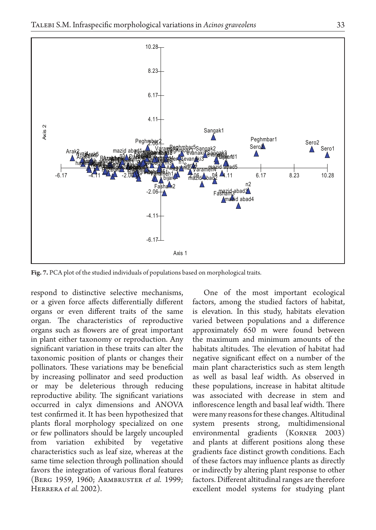

**Fig. 7.** PCA plot of the studied individuals of populations based on morphological traits.

respond to distinctive selective mechanisms, or a given force affects differentially different organs or even different traits of the same organ. The characteristics of reproductive organs such as flowers are of great important in plant either taxonomy or reproduction. Any significant variation in these traits can alter the taxonomic position of plants or changes their pollinators. These variations may be beneficial by increasing pollinator and seed production or may be deleterious through reducing reproductive ability. The significant variations occurred in calyx dimensions and ANOVA test confirmed it. It has been hypothesized that plants floral morphology specialized on one or few pollinators should be largely uncoupled from variation exhibited by vegetative characteristics such as leaf size, whereas at the same time selection through pollination should favors the integration of various floral features (Berg 1959, 1960; Armbruster *et al.* 1999; Herrera *et al.* 2002).

One of the most important ecological factors, among the studied factors of habitat, is elevation. In this study, habitats elevation varied between populations and a difference approximately 650 m were found between the maximum and minimum amounts of the habitats altitudes. The elevation of habitat had negative significant effect on a number of the main plant characteristics such as stem length as well as basal leaf width. As observed in these populations, increase in habitat altitude was associated with decrease in stem and inflorescence length and basal leaf width. There were many reasons for these changes. Altitudinal system presents strong, multidimensional environmental gradients (Korner 2003) and plants at different positions along these gradients face distinct growth conditions. Each of these factors may influence plants as directly or indirectly by altering plant response to other factors. Different altitudinal ranges are therefore excellent model systems for studying plant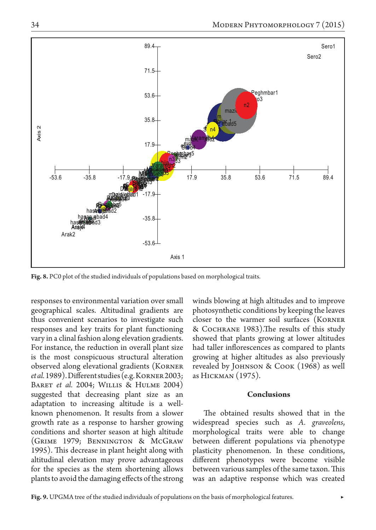

Fig. 8. PC0 plot of the studied individuals of populations based on morphological traits.

responses to environmental variation over small geographical scales. Altitudinal gradients are thus convenient scenarios to investigate such responses and key traits for plant functioning vary in a clinal fashion along elevation gradients. For instance, the reduction in overall plant size is the most conspicuous structural alteration observed along elevational gradients (Korner *et al.* 1989). Different studies (e.g. Korner 2003; Baret *et al.* 2004; Willis & Hulme 2004) suggested that decreasing plant size as an adaptation to increasing altitude is a wellknown phenomenon. It results from a slower growth rate as a response to harsher growing conditions and shorter season at high altitude (Grime 1979; Bennington & McGraw 1995). This decrease in plant height along with altitudinal elevation may prove advantageous for the species as the stem shortening allows plants to avoid the damaging effects of the strong winds blowing at high altitudes and to improve photosynthetic conditions by keeping the leaves closer to the warmer soil surfaces (Korner & Cochrane 1983).The results of this study showed that plants growing at lower altitudes had taller inflorescences as compared to plants growing at higher altitudes as also previously revealed by Johnson & Cook (1968) as well as Hickman (1975).

### **Conclusions**

The obtained results showed that in the widespread species such as *A. graveolens*, morphological traits were able to change between different populations via phenotype plasticity phenomenon. In these conditions, different phenotypes were become visible between various samples of the same taxon. This was an adaptive response which was created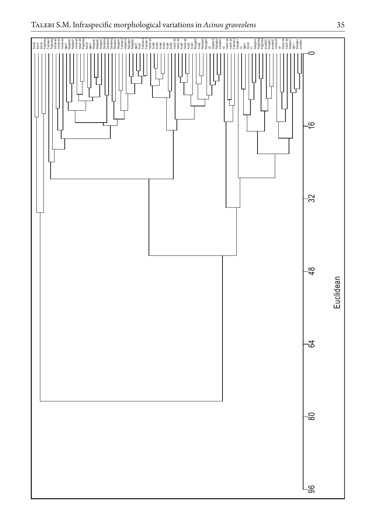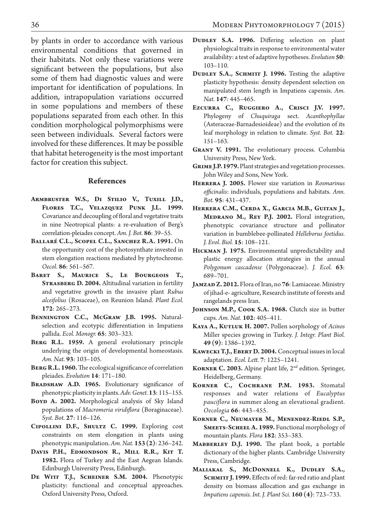by plants in order to accordance with various environmental conditions that governed in their habitats. Not only these variations were significant between the populations, but also some of them had diagnostic values and were important for identification of populations. In addition, intrapopulation variations occurred in some populations and members of these populations separated from each other. In this condition morphological polymorphisms were seen between individuals. Several factors were involved for these differences. It may be possible that habitat heterogeneity is the most important factor for creation this subject.

### **References**

- **Armbruster W.S., Di Stilio V., Tuxill J.D., Flores T.C., Velazquez Punk J.L. 1999.**  Covariance and decoupling of floral and vegetative traits in nine Neotropical plants: a re-evaluation of Berg's correlation-pleiades concept. *Am. J. Bot.* **86**: 39–55.
- **Ballaré C.L., Scopel C.L., Sanchez R.A. 1991.** On the opportunity cost of the photosynthate invested in stem elongation reactions mediated by phytochrome. *Oecol*. **86**: 561–567.
- **Baret S., Maurice S., Le Bourgeois T., Strasberg D. 2004.** Altitudinal variation in fertility and vegetative growth in the invasive plant *Rubus alceifolius* (Rosaceae), on Reunion Island. *Plant Ecol.*  **172**: 265–273.
- **Bennington C.C., McGraw J.B. 1995.** Naturalselection and ecotypic differentiation in Impatiens pallida. *Ecol. Monogr.* **65**: 303–323.
- **Berg R.L. 1959.** A general evolutionary principle underlying the origin of developmental homeostasis. *Am. Nat.* **93**: 103–105.
- **Berg R.L. 1960.** The ecological significance of correlation pleiades. *Evolution* **14**: 171–180.
- BRADSHAW A.D. 1965. Evolutionary significance of phenotypic plasticity in plants. *Adv. Genet.* **13**: 115–155.
- BoyD A. 2002. Morphological analysis of Sky Island populations of *Macromeria viridiflora* (Boraginaceae). *Syst. Bot.* **27**: 116–126.
- **Cipollini D.F., Shultz C. 1999.** Exploring cost constraints on stem elongation in plants using phenotypic manipulation. *Am. Nat.* **153 (2)**: 236–242.
- **Davis P.H., Edmondson R., Mill R.R., Kit T. 1982.** Flora of Turkey and the East Aegean Islands. Edinburgh University Press, Edinburgh.
- **De Witt T.J., Scheiner S.M. 2004.** Phenotypic plasticity: functional and conceptual approaches. Oxford University Press, Oxford.
- **Dudley S.A. 1996.** Differing selection on plant physiological traits in response to environmental water availability: a test of adaptive hypotheses. *Evolution* **50**: 103–110.
- DUDLEY S.A., SCHMITT J. 1996. Testing the adaptive plasticity hypothesis: density dependent selection on manipulated stem length in Impatiens capensis. *Am. Nat.* **147**: 445–465.
- **Ezcurra C., Ruggiero A., Crisci J.V. 1997.**  Phylogeny of *Chuquiraga* sect. *Acanthophyllae* (Asteraceae-Barnadesioideae) and the evolution of its leaf morphology in relation to climate. *Syst. Bot.* **22**: 151–163.
- **Grant V. 1991.** The evolutionary process. Columbia University Press, New York.
- **Grime J.P. 1979.** Plant strategies and vegetation processes. John Wiley and Sons, New York.
- **Herrera J. 2005.** Flower size variation in *Rosmarinus officinalis*: individuals, populations and habitats. *Ann. Bot.* **95**: 431–437.
- **Herrera C.M., Cerda X., Garcia M.B., Guitan J., Medrano M., Rey P.J. 2002.** Floral integration, phenotypic covariance structure and pollinator variation in bumblebee-pollinated *Helleborus foetidus. J. Evol. Biol.* **15**: 108–121.
- **Hickman J. 1975.** Environmental unpredictability and plastic energy allocation strategies in the annual *Polygonum cascadense* (Polygonaceae). *J. Ecol.* **63**: 689–701.
- **Jamzad Z. 2012.** Flora of Iran, no **76**: Lamiaceae. Ministry of jihad-e- agriculture, Research institute of forests and rangelands press Iran.
- JOHNSON M.P., COOK S.A. 1968. Clutch size in butter cups. *Am. Nat.* **102**: 405–411.
- **Kaya A., Kutluk H. 2007.** Pollen ьorphology of *Acinos*  Miller species growing in Turkey. *J. Integr. Plant Biol.*  **49 (9)**: 1386–1392.
- **Kawecki T.J., Ebert D. 2004.** Conceptual issues in local adaptation. *Ecol. Lett.* **7**: 1225–1241.
- **Korner C. 2003.** Alpine plant life, 2nd edition. Springer, Heidelberg, Germany.
- **Korner C., Cochrane P.M. 1983.** Stomatal responses and water relations of *Eucalyptus pauciflora* in summer along an elevational gradient. *Oecologia* **66**: 443–455.
- **Korner C., Neumayer M., Menendez-Riedl S.P.,**  SMEETS-SCHEEL A. 1989. Functional morphology of mountain plants. *Flora* **182**: 353–383.
- **Mabberley D.J. 1990.** The plant book, a portable dictionary of the higher plants. Cambridge University Press, Cambridge.
- **Maliakal S., McDonnell K., Dudley S.A.,**  SCHMITT J. 1999. Effects of red: far-red ratio and plant density on biomass allocation and gas exchange in *Impatiens capensis. Int. J. Plant Sci.* **160 (4)**: 723–733.